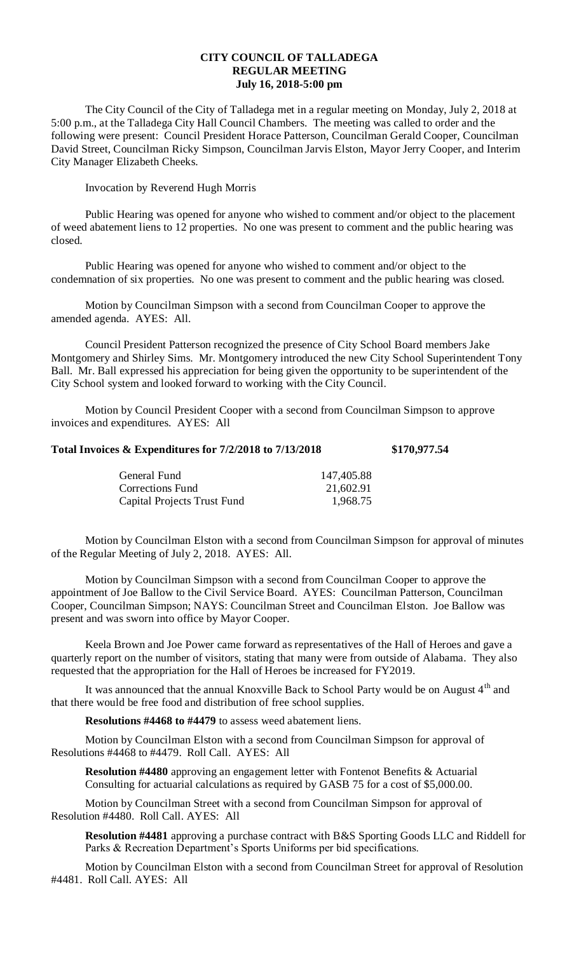## **CITY COUNCIL OF TALLADEGA REGULAR MEETING July 16, 2018-5:00 pm**

The City Council of the City of Talladega met in a regular meeting on Monday, July 2, 2018 at 5:00 p.m., at the Talladega City Hall Council Chambers. The meeting was called to order and the following were present: Council President Horace Patterson, Councilman Gerald Cooper, Councilman David Street, Councilman Ricky Simpson, Councilman Jarvis Elston, Mayor Jerry Cooper, and Interim City Manager Elizabeth Cheeks.

## Invocation by Reverend Hugh Morris

Public Hearing was opened for anyone who wished to comment and/or object to the placement of weed abatement liens to 12 properties. No one was present to comment and the public hearing was closed.

Public Hearing was opened for anyone who wished to comment and/or object to the condemnation of six properties. No one was present to comment and the public hearing was closed.

Motion by Councilman Simpson with a second from Councilman Cooper to approve the amended agenda. AYES: All.

Council President Patterson recognized the presence of City School Board members Jake Montgomery and Shirley Sims. Mr. Montgomery introduced the new City School Superintendent Tony Ball. Mr. Ball expressed his appreciation for being given the opportunity to be superintendent of the City School system and looked forward to working with the City Council.

Motion by Council President Cooper with a second from Councilman Simpson to approve invoices and expenditures. AYES: All

## **Total Invoices & Expenditures for 7/2/2018 to 7/13/2018 \$170,977.54**

| General Fund                | 147,405.88 |
|-----------------------------|------------|
| Corrections Fund            | 21,602.91  |
| Capital Projects Trust Fund | 1,968.75   |

Motion by Councilman Elston with a second from Councilman Simpson for approval of minutes of the Regular Meeting of July 2, 2018. AYES: All.

Motion by Councilman Simpson with a second from Councilman Cooper to approve the appointment of Joe Ballow to the Civil Service Board. AYES: Councilman Patterson, Councilman Cooper, Councilman Simpson; NAYS: Councilman Street and Councilman Elston. Joe Ballow was present and was sworn into office by Mayor Cooper.

Keela Brown and Joe Power came forward as representatives of the Hall of Heroes and gave a quarterly report on the number of visitors, stating that many were from outside of Alabama. They also requested that the appropriation for the Hall of Heroes be increased for FY2019.

It was announced that the annual Knoxville Back to School Party would be on August 4<sup>th</sup> and that there would be free food and distribution of free school supplies.

**Resolutions #4468 to #4479** to assess weed abatement liens.

Motion by Councilman Elston with a second from Councilman Simpson for approval of Resolutions #4468 to #4479. Roll Call. AYES: All

**Resolution #4480** approving an engagement letter with Fontenot Benefits & Actuarial Consulting for actuarial calculations as required by GASB 75 for a cost of \$5,000.00.

Motion by Councilman Street with a second from Councilman Simpson for approval of Resolution #4480. Roll Call. AYES: All

**Resolution #4481** approving a purchase contract with B&S Sporting Goods LLC and Riddell for Parks & Recreation Department's Sports Uniforms per bid specifications.

Motion by Councilman Elston with a second from Councilman Street for approval of Resolution #4481. Roll Call. AYES: All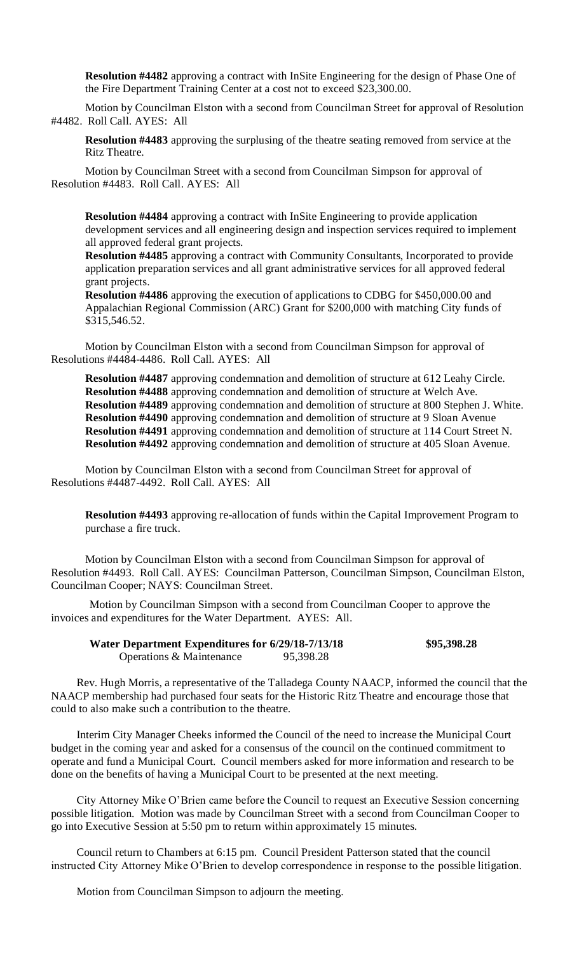**Resolution #4482** approving a contract with InSite Engineering for the design of Phase One of the Fire Department Training Center at a cost not to exceed \$23,300.00.

Motion by Councilman Elston with a second from Councilman Street for approval of Resolution #4482. Roll Call. AYES: All

**Resolution #4483** approving the surplusing of the theatre seating removed from service at the Ritz Theatre.

Motion by Councilman Street with a second from Councilman Simpson for approval of Resolution #4483. Roll Call. AYES: All

**Resolution #4484** approving a contract with InSite Engineering to provide application development services and all engineering design and inspection services required to implement all approved federal grant projects.

**Resolution #4485** approving a contract with Community Consultants, Incorporated to provide application preparation services and all grant administrative services for all approved federal grant projects.

**Resolution #4486** approving the execution of applications to CDBG for \$450,000.00 and Appalachian Regional Commission (ARC) Grant for \$200,000 with matching City funds of \$315,546.52.

Motion by Councilman Elston with a second from Councilman Simpson for approval of Resolutions #4484-4486. Roll Call. AYES: All

**Resolution #4487** approving condemnation and demolition of structure at 612 Leahy Circle. **Resolution #4488** approving condemnation and demolition of structure at Welch Ave. **Resolution #4489** approving condemnation and demolition of structure at 800 Stephen J. White. **Resolution #4490** approving condemnation and demolition of structure at 9 Sloan Avenue **Resolution #4491** approving condemnation and demolition of structure at 114 Court Street N. **Resolution #4492** approving condemnation and demolition of structure at 405 Sloan Avenue.

Motion by Councilman Elston with a second from Councilman Street for approval of Resolutions #4487-4492. Roll Call. AYES: All

**Resolution #4493** approving re-allocation of funds within the Capital Improvement Program to purchase a fire truck.

Motion by Councilman Elston with a second from Councilman Simpson for approval of Resolution #4493. Roll Call. AYES: Councilman Patterson, Councilman Simpson, Councilman Elston, Councilman Cooper; NAYS: Councilman Street.

Motion by Councilman Simpson with a second from Councilman Cooper to approve the invoices and expenditures for the Water Department. AYES: All.

| Water Department Expenditures for 6/29/18-7/13/18 |           | \$95,398.28 |
|---------------------------------------------------|-----------|-------------|
| Operations & Maintenance                          | 95,398.28 |             |

Rev. Hugh Morris, a representative of the Talladega County NAACP, informed the council that the NAACP membership had purchased four seats for the Historic Ritz Theatre and encourage those that could to also make such a contribution to the theatre.

Interim City Manager Cheeks informed the Council of the need to increase the Municipal Court budget in the coming year and asked for a consensus of the council on the continued commitment to operate and fund a Municipal Court. Council members asked for more information and research to be done on the benefits of having a Municipal Court to be presented at the next meeting.

City Attorney Mike O'Brien came before the Council to request an Executive Session concerning possible litigation. Motion was made by Councilman Street with a second from Councilman Cooper to go into Executive Session at 5:50 pm to return within approximately 15 minutes.

Council return to Chambers at 6:15 pm. Council President Patterson stated that the council instructed City Attorney Mike O'Brien to develop correspondence in response to the possible litigation.

Motion from Councilman Simpson to adjourn the meeting.